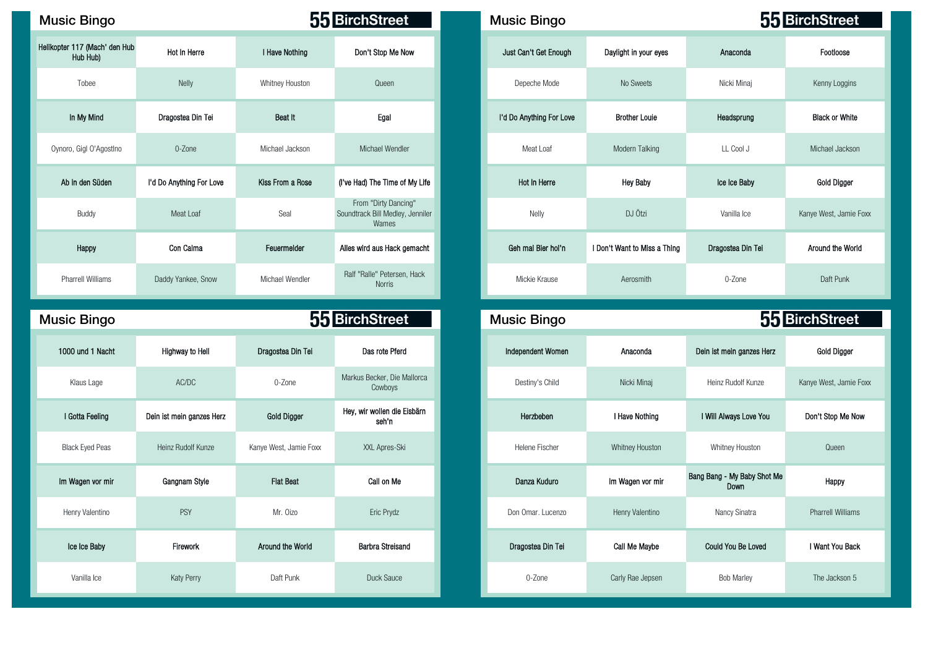| <b>Music Bingo</b> |  |
|--------------------|--|
|--------------------|--|

| Helikopter 117 (Mach' den Hub<br>Hub Hub) | Hot In Herre             | I Have Nothing   | Don't Stop Me Now                                                 | Just Can't Get Enough    | Daylight in your eyes        | Anaconda          | Footloose             |
|-------------------------------------------|--------------------------|------------------|-------------------------------------------------------------------|--------------------------|------------------------------|-------------------|-----------------------|
| Tobee                                     | Nelly                    | Whitney Houston  | Queen                                                             | Depeche Mode             | No Sweets                    | Nicki Minaj       | Kenny Loggins         |
| In My Mind                                | Dragostea Din Tei        | Beat It          | Egal                                                              | I'd Do Anything For Love | <b>Brother Louie</b>         | Headsprung        | <b>Black or White</b> |
| Oynoro, Gigl O'Agostlno                   | 0-Zone                   | Michael Jackson  | Michael Wendler                                                   | Meat Loaf                | Modern Talking               | LL Cool J         | Michael Jackson       |
| Ab in den Süden                           | I'd Do Anything For Love | Kiss From a Rose | (I've Had) The Time of My Life                                    | Hot In Herre             | <b>Hey Baby</b>              | Ice Ice Baby      | Gold Digger           |
| Buddy                                     | Meat Loaf                | Seal             | From "Dirty Dancing"<br>Soundtrack Bill Medley, Jenniler<br>Wames | Nelly                    | DJ Ötzi                      | Vanilla Ice       | Kanye West, Jamie I   |
| Happy                                     | Con Calma                | Feuermelder      | Alles wird aus Hack gemacht                                       | Geh mal Bier hol'n       | I Don't Want to Miss a Thing | Dragostea Din Tei | Around the Work       |
| <b>Pharrell Williams</b>                  | Daddy Yankee, Snow       | Michael Wendler  | Ralf "Ralle" Petersen, Hack<br>Norris                             | Mickie Krause            | Aerosmith                    | 0-Zone            | Daft Punk             |

## Music Bingo **Music Bingo Music Bingo Reserves 55 BirchStreet** 1000 und 1 Nacht Highway to Hell Dragostea Din Tei Das rote Pferd Independent Women Anaconda Dein ist mein ganzes Herz Gold Digger Klaus Lage AC/DC AC/DC 0-Zone Markus Becker, Die Mallorca Cowboys 80 39 66 74 72 81 83 45 I Gotta Feeling Dein ist mein ganzes Herz Gold Digger Hey, wir wollen die Eisbärn Black Eyed Peas Heinz Rudolf Kunze Kanye West, Jamie Foxx XXL Apres-Ski Helene Fischer Whitney Houston Whitney Houston Whitney Houston Queen 89 63 58 27 36 89 15 69 Im Wagen vor mir Gangnam Style Flat Beat Call on Me Call on Me Danza Kuduro Im Wagen vor mir Bang Bang - My Baby Shot Me 85 57 11 16 46 26 33 82

| c Bingo                        |                          |                  | 55 BirchStreet                                                    | <b>Music Bingo</b>       |                              |                   | 55 BirchStreet         |
|--------------------------------|--------------------------|------------------|-------------------------------------------------------------------|--------------------------|------------------------------|-------------------|------------------------|
| 117 (Mach' den Hub<br>Hub Hub) | Hot In Herre             | I Have Nothing   | Don't Stop Me Now                                                 | Just Can't Get Enough    | Daylight in your eyes        | Anaconda          | Footloose              |
| Tobee                          | Nelly                    | Whitney Houston  | Queen                                                             | Depeche Mode             | No Sweets                    | Nicki Minaj       | Kenny Loggins          |
| In My Mind                     | Dragostea Din Tei        | Beat It          | Egal                                                              | I'd Do Anything For Love | <b>Brother Louie</b>         | Headsprung        | <b>Black or White</b>  |
| o, Gigl O'AgostIno             | 0-Zone                   | Michael Jackson  | Michael Wendler                                                   | Meat Loaf                | Modern Talking               | LL Cool J         | Michael Jackson        |
| in den Süden                   | I'd Do Anything For Love | Kiss From a Rose | (I've Had) The Time of My Life                                    | Hot In Herre             | <b>Hey Baby</b>              | Ice Ice Baby      | Gold Digger            |
| Buddy                          | Meat Loaf                | Seal             | From "Dirty Dancing"<br>Soundtrack Bill Medley, Jenniler<br>Wames | Nelly                    | DJ Ötzi                      | Vanilla Ice       | Kanye West, Jamie Foxx |
| Happy                          | Con Calma                | Feuermelder      | Alles wird aus Hack gemacht                                       | Geh mal Bier hol'n       | I Don't Want to Miss a Thing | Dragostea Din Tei | Around the World       |
| arrell Williams                | Daddy Yankee, Snow       | Michael Wendler  | Ralf "Ralle" Petersen, Hack<br><b>Norris</b>                      | Mickie Krause            | Aerosmith                    | 0-Zone            | Daft Punk              |

| ic Bingo               |                           |                        | 55 BirchStreet                         | <b>Music Bingo</b> |                  |                                     | 55 BirchStreet           |
|------------------------|---------------------------|------------------------|----------------------------------------|--------------------|------------------|-------------------------------------|--------------------------|
| 000 und 1 Nacht        | <b>Highway to Hell</b>    | Dragostea Din Tei      | Das rote Pferd                         | Independent Women  | Anaconda         | Dein ist mein ganzes Herz           | Gold Digger              |
| Klaus Lage             | AC/DC                     | 0-Zone                 | Markus Becker, Die Mallorca<br>Cowboys | Destiny's Child    | Nicki Minaj      | Heinz Rudolf Kunze                  | Kanye West, Jamie Foxx   |
| I Gotta Feeling        | Dein ist mein ganzes Herz | <b>Gold Digger</b>     | Hey, wir wollen die Eisbärn<br>seh'n   | Herzbeben          | I Have Nothing   | I Will Always Love You              | Don't Stop Me Now        |
| <b>Black Eyed Peas</b> | Heinz Rudolf Kunze        | Kanye West, Jamie Foxx | XXL Apres-Ski                          | Helene Fischer     | Whitney Houston  | Whitney Houston                     | Queen                    |
| n Wagen vor mir        | Gangnam Style             | <b>Flat Beat</b>       | Call on Me                             | Danza Kuduro       | Im Wagen vor mir | Bang Bang - My Baby Shot Me<br>Down | Happy                    |
| Henry Valentino        | PSY                       | Mr. Oizo               | Eric Prydz                             | Don Omar. Lucenzo  | Henry Valentino  | Nancy Sinatra                       | <b>Pharrell Williams</b> |
| Ice Ice Baby           | Firework                  | Around the World       | <b>Barbra Streisand</b>                | Dragostea Din Tei  | Call Me Maybe    | Could You Be Loved                  | I Want You Back          |
| Vanilla Ice            | <b>Katy Perry</b>         | Daft Punk              | Duck Sauce                             | 0-Zone             | Carly Rae Jepsen | <b>Bob Marley</b>                   | The Jackson 5            |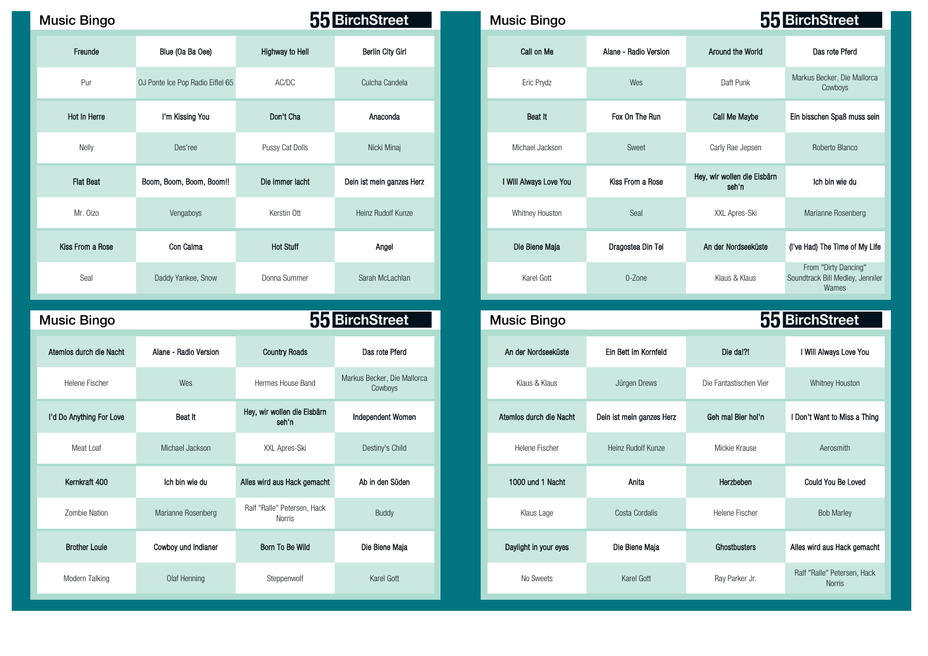| <b>Music Bingo</b> |                                  |                        | 55 BirchStreet            | <b>Music Bingo</b>     |                       |                                      | 55 BirchStr                             |
|--------------------|----------------------------------|------------------------|---------------------------|------------------------|-----------------------|--------------------------------------|-----------------------------------------|
| Freunde            | Blue (Oa Ba Oee)                 | <b>Highway to Hell</b> | Berlin City Girl          | Call on Me             | Alane - Radio Version | Around the World                     | Das rote                                |
| Pur                | OJ Ponte Ice Pop Radio Eiflel 65 | AC/DC                  | Culcha Candela            | Eric Prydz             | Wes                   | Daft Punk                            | Markus Becker<br>Cowb                   |
| Hot In Herre       | I'm Kissing You                  | Don't Cha              | Anaconda                  | Beat It                | Fox On The Run        | Call Me Maybe                        | Ein bisschen Sp                         |
| Nelly              | Des'ree                          | Pussy Cat Dolls        | Nicki Minaj               | Michael Jackson        | Sweet                 | Carly Rae Jepsen                     | Roberto                                 |
| <b>Flat Beat</b>   | Boom, Boom, Boom, Boom!!         | Die immer lacht        | Dein ist mein ganzes Herz | I Will Always Love You | Kiss From a Rose      | Hey, wir wollen die Eisbärn<br>seh'n | Ich bin                                 |
| Mr. Oizo           | Vengaboys                        | Kerstin Ott            | Heinz Rudolf Kunze        | Whitney Houston        | Seal                  | XXL Apres-Ski                        | Marianne F                              |
| Kiss From a Rose   | Con Calma                        | <b>Hot Stuff</b>       | Angel                     | Die Biene Maja         | Dragostea Din Tei     | An der Nordseeküste                  | (I've Had) The T                        |
| Seal               | Daddy Yankee, Snow               | Donna Summer           | Sarah McLachlan           | Karel Gott             | 0-Zone                | Klaus & Klaus                        | From "Dirty<br>Soundtrack Bill N<br>Wan |

| <b>Music Bingo</b>       |                       |                                       | 55 BirchStreet                         | <b>Music Bingo</b>      |                           |                        | 55 BirchStreet                             |
|--------------------------|-----------------------|---------------------------------------|----------------------------------------|-------------------------|---------------------------|------------------------|--------------------------------------------|
| Atemios durch die Nacht  | Alane - Radio Version | <b>Country Roads</b>                  | Das rote Pferd                         | An der Nordseeküste     | Ein Bett im Kornfeld      | Die da!?!              | I Will Always Love You                     |
| <b>Helene Fischer</b>    | Wes                   | Hermes House Band                     | Markus Becker, Die Mallorca<br>Cowboys | Klaus & Klaus           | Jürgen Drews              | Die Fantastischen Vier | Whitney Houston                            |
| I'd Do Anything For Love | Beat It               | Hey, wir wollen die Eisbärn<br>seh'n  | <b>Independent Women</b>               | Atemios durch die Nacht | Dein ist mein ganzes Herz | Geh mal Bier hol'n     | I Don't Want to Miss a Th                  |
| Meat Loaf                | Michael Jackson       | XXL Apres-Ski                         | Destiny's Child                        | Helene Fischer          | Heinz Rudolf Kunze        | Mickie Krause          | Aerosmith                                  |
| Kernkraft 400            | Ich bin wie du        | Alles wird aus Hack gemacht           | Ab in den Süden                        | 1000 und 1 Nacht        | Anita                     | Herzbeben              | Could You Be Loved                         |
| Zombie Nation            | Marianne Rosenberg    | Ralf "Ralle" Petersen, Hack<br>Norris | Buddy                                  | Klaus Lage              | Costa Cordalis            | Helene Fischer         | <b>Bob Marley</b>                          |
| <b>Brother Louie</b>     | Cowboy und Indianer   | Born To Be Wild                       | Die Biene Maja                         | Daylight in your eyes   | Die Biene Maja            | Ghostbusters           | Alles wird aus Hack gema                   |
| Modern Talking           | Olaf Henning          | Steppenwolf                           | Karel Gott                             | No Sweets               | Karel Gott                | Ray Parker Jr.         | Ralf "Ralle" Petersen, Ha<br><b>Norris</b> |

| sic Bingo        |                                  |                  | 55 BirchStreet            | <b>Music Bingo</b>     |                       |                                      | 55 BirchStreet                                                    |
|------------------|----------------------------------|------------------|---------------------------|------------------------|-----------------------|--------------------------------------|-------------------------------------------------------------------|
| Freunde          | Blue (Oa Ba Oee)                 | Highway to Hell  | Berlin City Girl          | Call on Me             | Alane - Radio Version | Around the World                     | Das rote Pferd                                                    |
| Pur              | OJ Ponte Ice Pop Radio Eiflel 65 | AC/DC            | Culcha Candela            | Eric Prydz             | Wes                   | Daft Punk                            | Markus Becker, Die Mallorca<br>Cowboys                            |
| Hot In Herre     | I'm Kissing You                  | Don't Cha        | Anaconda                  | Beat It                | Fox On The Run        | Call Me Maybe                        | Ein bisschen Spaß muss sein                                       |
| Nelly            | Des'ree                          | Pussy Cat Dolls  | Nicki Minaj               | Michael Jackson        | Sweet                 | Carly Rae Jepsen                     | Roberto Blanco                                                    |
| <b>Flat Beat</b> | Boom, Boom, Boom, Boom!!         | Die immer lacht  | Dein ist mein ganzes Herz | I Will Always Love You | Kiss From a Rose      | Hey, wir wollen die Eisbärn<br>seh'n | Ich bin wie du                                                    |
| Mr. Oizo         | Vengaboys                        | Kerstin Ott      | Heinz Rudolf Kunze        | Whitney Houston        | Seal                  | XXL Apres-Ski                        | Marianne Rosenberg                                                |
| Kiss From a Rose | Con Calma                        | <b>Hot Stuff</b> | Angel                     | Die Biene Maja         | Dragostea Din Tei     | An der Nordseeküste                  | (I've Had) The Time of My Life                                    |
| Seal             | Daddy Yankee, Snow               | Donna Summer     | Sarah McLachlan           | Karel Gott             | 0-Zone                | Klaus & Klaus                        | From "Dirty Dancing"<br>Soundtrack Bill Medley, Jenniler<br>Wames |

| ic Bingo             |                       |                                       | 55 BirchStreet                         | <b>Music Bingo</b>      |                           |                        | 55 BirchStreet                               |
|----------------------|-----------------------|---------------------------------------|----------------------------------------|-------------------------|---------------------------|------------------------|----------------------------------------------|
| los durch die Nacht  | Alane - Radio Version | <b>Country Roads</b>                  | Das rote Pferd                         | An der Nordseeküste     | Ein Bett im Kornfeld      | Die da!?!              | I Will Always Love You                       |
| Helene Fischer       | Wes                   | Hermes House Band                     | Markus Becker, Die Mallorca<br>Cowboys | Klaus & Klaus           | Jürgen Drews              | Die Fantastischen Vier | Whitney Houston                              |
| o Anything For Love  | Beat It               | Hey, wir wollen die Eisbärn<br>seh'n  | Independent Women                      | Atemios durch die Nacht | Dein ist mein ganzes Herz | Geh mal Bier hol'n     | I Don't Want to Miss a Thing                 |
| Meat Loaf            | Michael Jackson       | XXL Apres-Ski                         | Destiny's Child                        | Helene Fischer          | Heinz Rudolf Kunze        | Mickie Krause          | Aerosmith                                    |
| Kernkraft 400        | Ich bin wie du        | Alles wird aus Hack gemacht           | Ab in den Süden                        | 1000 und 1 Nacht        | Anita                     | Herzbeben              | Could You Be Loved                           |
| Zombie Nation        | Marianne Rosenberg    | Ralf "Ralle" Petersen, Hack<br>Norris | Buddy                                  | Klaus Lage              | Costa Cordalis            | Helene Fischer         | <b>Bob Marley</b>                            |
| <b>Brother Louie</b> | Cowboy und Indianer   | Born To Be Wild                       | Die Biene Maja                         | Daylight in your eyes   | Die Biene Maja            | Ghostbusters           | Alles wird aus Hack gemacht                  |
| Modern Talking       | Olaf Henning          | Steppenwolf                           | Karel Gott                             | No Sweets               | Karel Gott                | Ray Parker Jr.         | Ralf "Ralle" Petersen, Hack<br><b>Norris</b> |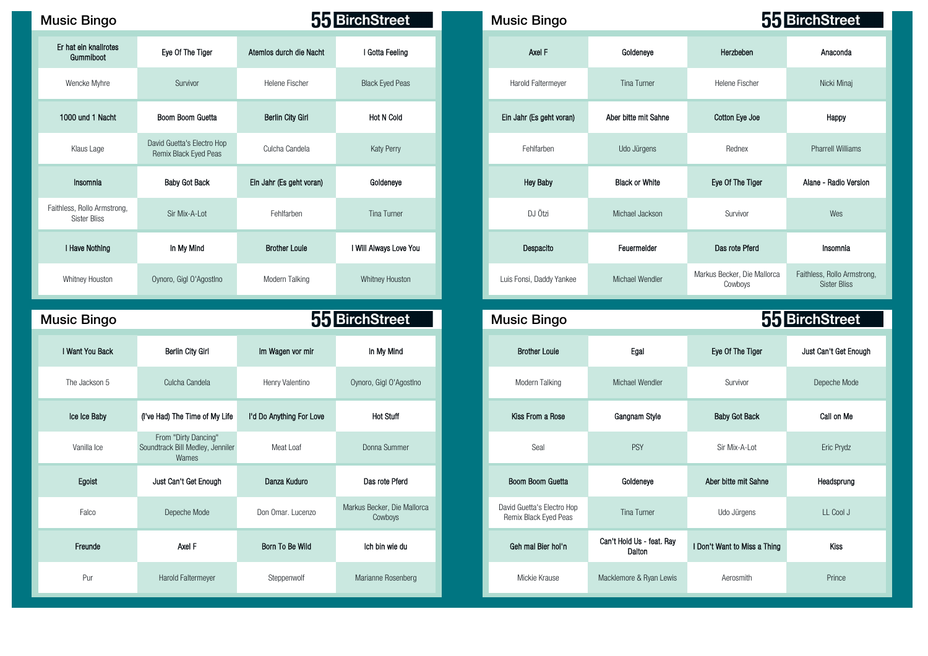| <b>Music Bingo</b>                                 |                                                                   |                          | 55 BirchStreet              | <b>Music Bingo</b>                                                |                       |                                        | 55 BirchStree        |
|----------------------------------------------------|-------------------------------------------------------------------|--------------------------|-----------------------------|-------------------------------------------------------------------|-----------------------|----------------------------------------|----------------------|
| Er hat ein knallrotes<br>Gummiboot                 | Eye Of The Tiger                                                  | Atemios durch die Nacht  | I Gotta Feeling             | Axel F                                                            | Goldeneye             | Herzbeben                              |                      |
| Wencke Myhre                                       | Survivor                                                          | Helene Fischer           | <b>Black Eyed Peas</b>      | Harold Faltermeyer                                                | Tina Turner           | Helene Fischer                         |                      |
| 1000 und 1 Nacht                                   | Boom Boom Guetta                                                  | <b>Berlin City Girl</b>  | <b>Hot N Cold</b>           | Ein Jahr (Es geht voran)                                          | Aber bitte mit Sahne  | Cotton Eye Joe                         |                      |
| Klaus Lage                                         | David Guetta's Electro Hop<br>Remix Black Eyed Peas               | Culcha Candela           | Katy Perry                  | Fehlfarben                                                        | Udo Jürgens           | Rednex                                 | Pharrell Willia      |
| Insomnia                                           | <b>Baby Got Back</b>                                              | Ein Jahr (Es geht voran) | Goldeneye                   | <b>Hey Baby</b>                                                   | <b>Black or White</b> | Eye Of The Tiger                       | Alane - Radio Vo     |
| Faithless, Rollo Armstrong,<br><b>Sister Bliss</b> | Sir Mix-A-Lot                                                     | Fehlfarben               | <b>Tina Turner</b>          | DJ Ötzi                                                           | Michael Jackson       | Survivor                               |                      |
| I Have Nothing                                     | In My Mind                                                        | <b>Brother Louie</b>     | I Will Always Love You      | Despacito                                                         | Feuermelder           | Das rote Pferd                         |                      |
| Whitney Houston                                    | Oynoro, Gigl O'Agostlno                                           | Modern Talking           | Whitney Houston             | Luis Fonsi, Daddy Yankee                                          | Michael Wendler       | Markus Becker, Die Mallorca<br>Cowboys | Faithless, Rollo Arr |
| <b>Music Bingo</b>                                 |                                                                   |                          | 55 BirchStreet              | <b>Music Bingo</b>                                                |                       | 55 BirchStree                          |                      |
| I Want You Back                                    | Berlin City Girl                                                  | Im Wagen vor mir         | In My Mind                  | <b>Brother Louie</b>                                              | Egal                  | Eye Of The Tiger                       | Just Can't Get E     |
| The Jackson 5                                      | Culcha Candela                                                    | Henry Valentino          | Oynoro, Gigl O'AgostIno     | Modern Talking                                                    | Michael Wendler       | Survivor                               | Depeche Mo           |
| Ice Ice Baby                                       | (I've Had) The Time of My Life                                    | I'd Do Anything For Love | <b>Hot Stuff</b>            | Kiss From a Rose                                                  | Gangnam Style         | <b>Baby Got Back</b>                   |                      |
| Vanilla Ice                                        | From "Dirty Dancing"<br>Soundtrack Bill Medley, Jenniler<br>Wames | Meat Loaf                | Donna Summer                | Seal                                                              | <b>PSY</b>            | Sir Mix-A-Lot                          |                      |
| Egoist                                             | Just Can't Get Enough                                             | Danza Kuduro             | Das rote Pferd              | Boom Boom Guetta                                                  | Goldeneye             | Aber bitte mit Sahne                   |                      |
| Falco                                              | Depeche Mode                                                      | Don Omar. Lucenzo        | Markus Becker, Die Mallorca | David Guetta's Electro Hop<br>$\cdot$ $\sim$ $\sim$ $\sim$ $\sim$ | <b>Tina Turner</b>    | Udo Jürgens                            |                      |

**Cowboys** 

Freunde Can't Hold Us - feat. Ray<br>Freunde Can't Hold Us - feat. Ray

62 13 24 86 64 28 79 95

Pur Marold Faltermeyer Steppenwolf Marianne Rosenberg Mickie Krause Macklemore & Ryan Lewis Aerosmith Prince

| sic Bingo                                     |                                                                   |                          | 55 BirchStreet          | <b>Music Bingo</b>       |                       |                                        | 55 BirchStreet                                     |
|-----------------------------------------------|-------------------------------------------------------------------|--------------------------|-------------------------|--------------------------|-----------------------|----------------------------------------|----------------------------------------------------|
| hat ein knallrotes<br>Gummiboot               | Eye Of The Tiger                                                  | Atemios durch die Nacht  | I Gotta Feeling         | Axel F                   | Goldeneye             | Herzbeben                              | Anaconda                                           |
| Wencke Myhre                                  | Survivor                                                          | Helene Fischer           | <b>Black Eyed Peas</b>  | Harold Faltermeyer       | <b>Tina Turner</b>    | Helene Fischer                         | Nicki Minaj                                        |
| 000 und 1 Nacht                               | Boom Boom Guetta                                                  | <b>Berlin City Girl</b>  | <b>Hot N Cold</b>       | Ein Jahr (Es geht voran) | Aber bitte mit Sahne  | Cotton Eye Joe                         | Happy                                              |
| Klaus Lage                                    | David Guetta's Electro Hop<br>Remix Black Eyed Peas               | Culcha Candela           | <b>Katy Perry</b>       | Fehlfarben               | Udo Jürgens           | Rednex                                 | <b>Pharrell Williams</b>                           |
| Insomnia                                      | <b>Baby Got Back</b>                                              | Ein Jahr (Es geht voran) | Goldeneye               | <b>Hey Baby</b>          | <b>Black or White</b> | Eye Of The Tiger                       | Alane - Radio Version                              |
| less, Rollo Armstrong,<br><b>Sister Bliss</b> | Sir Mix-A-Lot                                                     | Fehlfarben               | Tina Turner             | DJ Ötzi                  | Michael Jackson       | Survivor                               | Wes                                                |
| I Have Nothing                                | In My Mind                                                        | <b>Brother Louie</b>     | I Will Always Love You  | Despacito                | Feuermelder           | Das rote Pferd                         | Insomnia                                           |
| Whitney Houston                               | Oynoro, Gigl O'Agostino                                           | Modern Talking           | Whitney Houston         | Luis Fonsi, Daddy Yankee | Michael Wendler       | Markus Becker, Die Mallorca<br>Cowboys | Faithless, Rollo Armstrong,<br><b>Sister Bliss</b> |
| sic Bingo                                     |                                                                   |                          | 55 BirchStreet          | <b>Music Bingo</b>       |                       |                                        | 55 BirchStreet                                     |
| <b>Want You Back</b>                          | <b>Berlin City Girl</b>                                           | Im Wagen vor mir         | In My Mind              | <b>Brother Louie</b>     | Egal                  | Eye Of The Tiger                       | Just Can't Get Enough                              |
| The Jackson 5                                 | Culcha Candela                                                    | Henry Valentino          | Oynoro, Gigl O'Agostino | Modern Talking           | Michael Wendler       | Survivor                               | Depeche Mode                                       |
| Ice Ice Baby                                  | (I've Had) The Time of My Life                                    | I'd Do Anything For Love | <b>Hot Stuff</b>        | Kiss From a Rose         | Gangnam Style         | <b>Baby Got Back</b>                   | Call on Me                                         |
| Vanilla Ice                                   | From "Dirty Dancing"<br>Soundtrack Bill Medley, Jenniler<br>Wames | Meat Loaf                | Donna Summer            | Seal                     | <b>PSY</b>            | Sir Mix-A-Lot                          | Eric Prydz                                         |
| Egoist                                        | Just Can't Get Enough                                             | Danza Kuduro             | Das rote Pferd          | Boom Boom Guetta         | Goldeneye             | Aber bitte mit Sahne                   | Headsprung                                         |

David Guetta's Electro Hop Remix Black Eyed Peas Tina Turner Udo Jürgens LL Cool J

Can't Hold Us - feat. Ray I Don't Want to Miss a Thing Can't Hold Us - feat. Ray